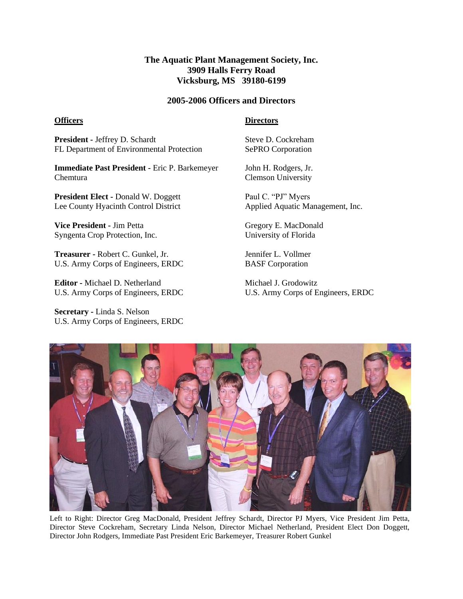## **The Aquatic Plant Management Society, Inc. 3909 Halls Ferry Road Vicksburg, MS 39180-6199**

#### **2005-2006 Officers and Directors**

#### **Officers**

### **Directors**

**President -** Jeffrey D. Schardt FL Department of Environmental Protection

**Immediate Past President -** Eric P. Barkemeyer Chemtura

**President Elect -** Donald W. Doggett Lee County Hyacinth Control District

**Vice President -** Jim Petta Syngenta Crop Protection, Inc.

**Treasurer -** Robert C. Gunkel, Jr. U.S. Army Corps of Engineers, ERDC

**Editor -** Michael D. Netherland U.S. Army Corps of Engineers, ERDC

**Secretary -** Linda S. Nelson U.S. Army Corps of Engineers, ERDC Steve D. Cockreham SePRO Corporation

John H. Rodgers, Jr. Clemson University

Paul C. "PJ" Myers Applied Aquatic Management, Inc.

Gregory E. MacDonald University of Florida

Jennifer L. Vollmer BASF Corporation

Michael J. Grodowitz U.S. Army Corps of Engineers, ERDC



Left to Right: Director Greg MacDonald, President Jeffrey Schardt, Director PJ Myers, Vice President Jim Petta, Director Steve Cockreham, Secretary Linda Nelson, Director Michael Netherland, President Elect Don Doggett, Director John Rodgers, Immediate Past President Eric Barkemeyer, Treasurer Robert Gunkel